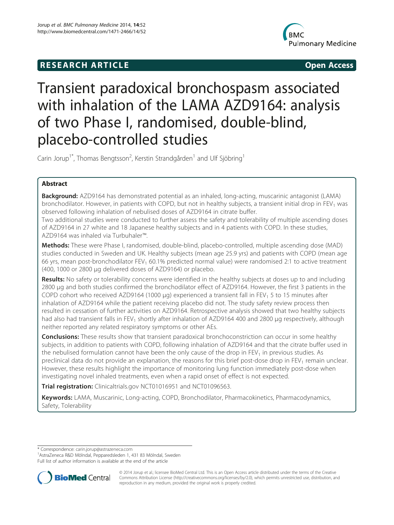# **RESEARCH ARTICLE CONSUMING A RESEARCH ARTICLE**



# Transient paradoxical bronchospasm associated with inhalation of the LAMA AZD9164: analysis of two Phase I, randomised, double-blind, placebo-controlled studies

Carin Jorup<sup>1\*</sup>, Thomas Bengtsson<sup>2</sup>, Kerstin Strandgården<sup>1</sup> and Ulf Sjöbring<sup>1</sup>

# Abstract

Background: AZD9164 has demonstrated potential as an inhaled, long-acting, muscarinic antagonist (LAMA) bronchodilator. However, in patients with COPD, but not in healthy subjects, a transient initial drop in FEV<sub>1</sub> was observed following inhalation of nebulised doses of AZD9164 in citrate buffer.

Two additional studies were conducted to further assess the safety and tolerability of multiple ascending doses of AZD9164 in 27 white and 18 Japanese healthy subjects and in 4 patients with COPD. In these studies, AZD9164 was inhaled via Turbuhaler™.

Methods: These were Phase I, randomised, double-blind, placebo-controlled, multiple ascending dose (MAD) studies conducted in Sweden and UK. Healthy subjects (mean age 25.9 yrs) and patients with COPD (mean age 66 yrs, mean post-bronchodilator FEV<sub>1</sub> 60.1% predicted normal value) were randomised 2:1 to active treatment (400, 1000 or 2800 μg delivered doses of AZD9164) or placebo.

Results: No safety or tolerability concerns were identified in the healthy subjects at doses up to and including 2800 μg and both studies confirmed the bronchodilator effect of AZD9164. However, the first 3 patients in the COPD cohort who received AZD9164 (1000  $\mu$ q) experienced a transient fall in FEV<sub>1</sub> 5 to 15 minutes after inhalation of AZD9164 while the patient receiving placebo did not. The study safety review process then resulted in cessation of further activities on AZD9164. Retrospective analysis showed that two healthy subjects had also had transient falls in FEV<sub>1</sub> shortly after inhalation of AZD9164 400 and 2800 μg respectively, although neither reported any related respiratory symptoms or other AEs.

**Conclusions:** These results show that transient paradoxical bronchoconstriction can occur in some healthy subjects, in addition to patients with COPD, following inhalation of AZD9164 and that the citrate buffer used in the nebulised formulation cannot have been the only cause of the drop in  $FEV<sub>1</sub>$  in previous studies. As preclinical data do not provide an explanation, the reasons for this brief post-dose drop in FEV<sub>1</sub> remain unclear. However, these results highlight the importance of monitoring lung function immediately post-dose when investigating novel inhaled treatments, even when a rapid onset of effect is not expected.

Trial registration: Clinicaltrials.gov [NCT01016951](http://clinicaltrials.gov/ct2/show/NCT01016951) and [NCT01096563.](http://clinicaltrials.gov/ct2/show/NCT01096563)

Keywords: LAMA, Muscarinic, Long-acting, COPD, Bronchodilator, Pharmacokinetics, Pharmacodynamics, Safety, Tolerability

\* Correspondence: [carin.jorup@astrazeneca.com](mailto:carin.jorup@astrazeneca.com) <sup>1</sup>

AstraZeneca R&D Mölndal, Pepparedsleden 1, 431 83 Mölndal, Sweden Full list of author information is available at the end of the article



© 2014 Jorup et al.; licensee BioMed Central Ltd. This is an Open Access article distributed under the terms of the Creative Commons Attribution License [\(http://creativecommons.org/licenses/by/2.0\)](http://creativecommons.org/licenses/by/2.0), which permits unrestricted use, distribution, and reproduction in any medium, provided the original work is properly credited.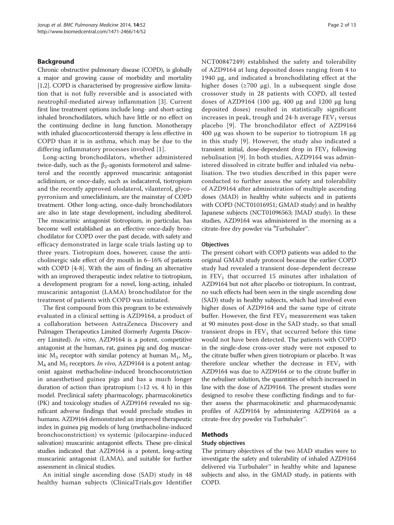# Background

Chronic obstructive pulmonary disease (COPD), is globally a major and growing cause of morbidity and mortality [[1,2](#page-11-0)]. COPD is characterised by progressive airflow limitation that is not fully reversible and is associated with neutrophil-mediated airway inflammation [[3\]](#page-11-0). Current first line treatment options include long- and short-acting inhaled bronchodilators, which have little or no effect on the continuing decline in lung function. Monotherapy with inhaled glucocorticosteroid therapy is less effective in COPD than it is in asthma, which may be due to the differing inflammatory processes involved [[1](#page-11-0)].

Long-acting bronchodilators, whether administered twice-daily, such as the  $β_2$ -agonists formoterol and salmeterol and the recently approved muscarinic antagonist aclidinium, or once-daily, such as indacaterol, tiotropium and the recently approved olodaterol, vilanterol, glycopyrronium and umeclidinium, are the mainstay of COPD treatment. Other long-acting, once-daily bronchodilators are also in late stage development, including abediterol. The muscarinic antagonist tiotropium, in particular, has become well established as an effective once-daily bronchodilator for COPD over the past decade, with safety and efficacy demonstrated in large scale trials lasting up to three years. Tiotropium does, however, cause the anticholinergic side effect of dry mouth in 6–16% of patients with COPD [\[4](#page-12-0)-[8](#page-12-0)]. With the aim of finding an alternative with an improved therapeutic index relative to tiotropium, a development program for a novel, long-acting, inhaled muscarinic antagonist (LAMA) bronchodilator for the treatment of patients with COPD was initiated.

The first compound from this program to be extensively evaluated in a clinical setting is AZD9164, a product of a collaboration between AstraZeneca Discovery and Pulmagen Therapeutics Limited (formerly Argenta Discovery Limited). In vitro, AZD9164 is a potent, competitive antagonist at the human, rat, guinea pig and dog muscarinic  $M_3$  receptor with similar potency at human  $M_1$ ,  $M_2$ ,  $M_4$  and  $M_5$  receptors. In vivo, AZD9164 is a potent antagonist against methacholine-induced bronchoconstriction in anaesthetised guinea pigs and has a much longer duration of action than ipratropium  $(>12$  vs. 4 h) in this model. Preclinical safety pharmacology, pharmacokinetics (PK) and toxicology studies of AZD9164 revealed no significant adverse findings that would preclude studies in humans. AZD9164 demonstrated an improved therapeutic index in guinea pig models of lung (methacholine-induced bronchoconstriction) vs systemic (pilocarpine-induced salivation) muscarinic antagonist effects. These pre-clinical studies indicated that AZD9164 is a potent, long-acting muscarinic antagonist (LAMA), and suitable for further assessment in clinical studies.

An initial single ascending dose (SAD) study in 48 healthy human subjects (ClinicalTrials.gov Identifier NCT00847249) established the safety and tolerability of AZD9164 at lung deposited doses ranging from 4 to 1940 μg, and indicated a bronchodilating effect at the higher doses (≥700 μg). In a subsequent single dose crossover study in 28 patients with COPD, all tested doses of AZD9164 (100 μg, 400 μg and 1200 μg lung deposited doses) resulted in statistically significant increases in peak, trough and  $24$ -h average  $FEV<sub>1</sub>$  versus placebo [\[9](#page-12-0)]. The bronchodilator effect of AZD9164 400 μg was shown to be superior to tiotropium 18 μg in this study [\[9](#page-12-0)]. However, the study also indicated a transient initial, dose-dependent drop in  $FEV<sub>1</sub>$  following nebulisation [[9](#page-12-0)]. In both studies, AZD9164 was administered dissolved in citrate buffer and inhaled via nebulisation. The two studies described in this paper were conducted to further assess the safety and tolerability of AZD9164 after administration of multiple ascending doses (MAD) in healthy white subjects and in patients with COPD (NCT01016951; GMAD study) and in healthy Japanese subjects (NCT01096563; JMAD study). In these studies, AZD9164 was administered in the morning as a citrate-free dry powder via <sup>a</sup>Turbuhaler<sup>™</sup>.

#### **Objectives**

The present cohort with COPD patients was added to the original GMAD study protocol because the earlier COPD study had revealed a transient dose-dependent decrease in  $FEV<sub>1</sub>$  that occurred 15 minutes after inhalation of AZD9164 but not after placebo or tiotropium. In contrast, no such effects had been seen in the single ascending dose (SAD) study in healthy subjects, which had involved even higher doses of AZD9164 and the same type of citrate buffer. However, the first  $FEV<sub>1</sub>$  measurement was taken at 90 minutes post-dose in the SAD study, so that small transient drops in  $FEV<sub>1</sub>$  that occurred before this time would not have been detected. The patients with COPD in the single-dose cross-over study were not exposed to the citrate buffer when given tiotropium or placebo. It was therefore unclear whether the decrease in  $FEV<sub>1</sub>$  with AZD9164 was due to AZD9164 or to the citrate buffer in the nebuliser solution, the quantities of which increased in line with the dose of AZD9164. The present studies were designed to resolve these conflicting findings and to further assess the pharmacokinetic and pharmacodynamic profiles of AZD9164 by administering AZD9164 as a citrate-free dry powder via Turbuhaler™.

# Methods

# Study objectives

The primary objectives of the two MAD studies were to investigate the safety and tolerability of inhaled AZD9164 delivered via Turbuhaler™ in healthy white and Japanese subjects and also, in the GMAD study, in patients with COPD.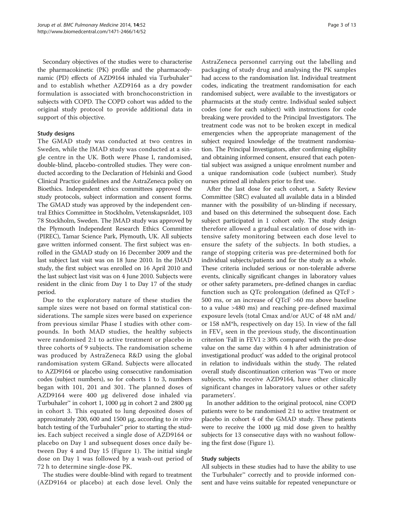Secondary objectives of the studies were to characterise the pharmacokinetic (PK) profile and the pharmacodynamic (PD) effects of AZD9164 inhaled via Turbuhaler™ and to establish whether AZD9164 as a dry powder formulation is associated with bronchoconstriction in subjects with COPD. The COPD cohort was added to the original study protocol to provide additional data in support of this objective.

# Study designs

The GMAD study was conducted at two centres in Sweden, while the JMAD study was conducted at a single centre in the UK. Both were Phase I, randomised, double-blind, placebo-controlled studies. They were conducted according to the Declaration of Helsinki and Good Clinical Practice guidelines and the AstraZeneca policy on Bioethics. Independent ethics committees approved the study protocols, subject information and consent forms. The GMAD study was approved by the independent central Ethics Committee in Stockholm, Vetenskapsrådet, 103 78 Stockholm, Sweden. The JMAD study was approved by the Plymouth Independent Research Ethics Committee (PIREC), Tamar Science Park, Plymouth, UK. All subjects gave written informed consent. The first subject was enrolled in the GMAD study on 16 December 2009 and the last subject last visit was on 18 June 2010. In the JMAD study, the first subject was enrolled on 16 April 2010 and the last subject last visit was on 4 June 2010. Subjects were resident in the clinic from Day 1 to Day 17 of the study period.

Due to the exploratory nature of these studies the sample sizes were not based on formal statistical considerations. The sample sizes were based on experience from previous similar Phase I studies with other compounds. In both MAD studies, the healthy subjects were randomised 2:1 to active treatment or placebo in three cohorts of 9 subjects. The randomisation scheme was produced by AstraZeneca R&D using the global randomisation system GRand. Subjects were allocated to AZD9164 or placebo using consecutive randomisation codes (subject numbers), so for cohorts 1 to 3, numbers began with 101, 201 and 301. The planned doses of AZD9164 were 400 μg delivered dose inhaled via Turbuhaler<sup>™</sup> in cohort 1, 1000 μg in cohort 2 and 2800 μg in cohort 3. This equated to lung deposited doses of approximately 200, 600 and 1500 μg, according to in vitro batch testing of the Turbuhaler<sup>™</sup> prior to starting the studies. Each subject received a single dose of AZD9164 or placebo on Day 1 and subsequent doses once daily between Day 4 and Day 15 (Figure [1\)](#page-3-0). The initial single dose on Day 1 was followed by a wash-out period of 72 h to determine single-dose PK.

The studies were double-blind with regard to treatment (AZD9164 or placebo) at each dose level. Only the

AstraZeneca personnel carrying out the labelling and packaging of study drug and analysing the PK samples had access to the randomisation list. Individual treatment codes, indicating the treatment randomisation for each randomised subject, were available to the investigators or pharmacists at the study centre. Individual sealed subject codes (one for each subject) with instructions for code breaking were provided to the Principal Investigators. The treatment code was not to be broken except in medical emergencies when the appropriate management of the subject required knowledge of the treatment randomisation. The Principal Investigators, after confirming eligibility and obtaining informed consent, ensured that each potential subject was assigned a unique enrolment number and a unique randomisation code (subject number). Study nurses primed all inhalers prior to first use.

After the last dose for each cohort, a Safety Review Committee (SRC) evaluated all available data in a blinded manner with the possibility of un-blinding if necessary, and based on this determined the subsequent dose. Each subject participated in 1 cohort only. The study design therefore allowed a gradual escalation of dose with intensive safety monitoring between each dose level to ensure the safety of the subjects. In both studies, a range of stopping criteria was pre-determined both for individual subjects/patients and for the study as a whole. These criteria included serious or non-tolerable adverse events, clinically significant changes in laboratory values or other safety parameters, pre-defined changes in cardiac function such as QTc prolongation (defined as QTcF > 500 ms, or an increase of QTcF >60 ms above baseline to a value >480 ms) and reaching pre-defined maximal exposure levels (total Cmax and/or AUC of 48 nM and/ or 158 nM\*h, respectively on day 15). In view of the fall in  $FEV<sub>1</sub>$  seen in the previous study, the discontinuation criterion 'Fall in  $FEV1 \geq 30\%$  compared with the pre-dose value on the same day within 4 h after administration of investigational product' was added to the original protocol in relation to individuals within the study. The related overall study discontinuation criterion was 'Two or more subjects, who receive AZD9164, have other clinically significant changes in laboratory values or other safety parameters'.

In another addition to the original protocol, nine COPD patients were to be randomised 2:1 to active treatment or placebo in cohort 4 of the GMAD study. These patients were to receive the 1000 μg mid dose given to healthy subjects for 13 consecutive days with no washout following the first dose (Figure [1\)](#page-3-0).

#### Study subjects

All subjects in these studies had to have the ability to use the Turbuhaler™ correctly and to provide informed consent and have veins suitable for repeated venepuncture or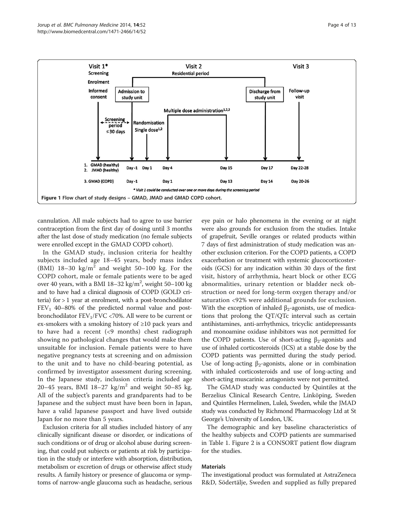<span id="page-3-0"></span>

cannulation. All male subjects had to agree to use barrier contraception from the first day of dosing until 3 months after the last dose of study medication (no female subjects were enrolled except in the GMAD COPD cohort).

In the GMAD study, inclusion criteria for healthy subjects included age 18–45 years, body mass index (BMI)  $18-30 \text{ kg/m}^2$  and weight 50-100 kg. For the COPD cohort, male or female patients were to be aged over 40 years, with a BMI  $18-32$  kg/m<sup>2</sup>, weight  $50-100$  kg and to have had a clinical diagnosis of COPD (GOLD criteria) for > 1 year at enrolment, with a post-bronchodilator  $FEV<sub>1</sub>$  40–80% of the predicted normal value and postbronchodilator  $\text{FEV}_1/\text{FVC} < 70\%$  .<br>All were to be current or ex-smokers with a smoking history of ≥10 pack years and to have had a recent (<9 months) chest radiograph showing no pathological changes that would make them unsuitable for inclusion. Female patients were to have negative pregnancy tests at screening and on admission to the unit and to have no child-bearing potential, as confirmed by investigator assessment during screening. In the Japanese study, inclusion criteria included age 20–45 years, BMI 18–27 kg/m<sup>2</sup> and weight 50–85 kg. All of the subject's parents and grandparents had to be Japanese and the subject must have been born in Japan, have a valid Japanese passport and have lived outside Japan for no more than 5 years.

Exclusion criteria for all studies included history of any clinically significant disease or disorder, or indications of such conditions or of drug or alcohol abuse during screening, that could put subjects or patients at risk by participation in the study or interfere with absorption, distribution, metabolism or excretion of drugs or otherwise affect study results. A family history or presence of glaucoma or symptoms of narrow-angle glaucoma such as headache, serious

eye pain or halo phenomena in the evening or at night were also grounds for exclusion from the studies. Intake of grapefruit, Seville oranges or related products within 7 days of first administration of study medication was another exclusion criterion. For the COPD patients, a COPD exacerbation or treatment with systemic glucocorticosteroids (GCS) for any indication within 30 days of the first visit, history of arrhythmia, heart block or other ECG abnormalities, urinary retention or bladder neck obstruction or need for long-term oxygen therapy and/or saturation <92% were additional grounds for exclusion. With the exception of inhaled  $\beta_2$ -agonists, use of medications that prolong the QT/QTc interval such as certain antihistamines, anti-arrhythmics, tricyclic antidepressants and monoamine oxidase inhibitors was not permitted for the COPD patients. Use of short-acting  $β_2$ -agonists and use of inhaled corticosteroids (ICS) at a stable dose by the COPD patients was permitted during the study period. Use of long-acting  $\beta_2$ -agonists, alone or in combination with inhaled corticosteroids and use of long-acting and short-acting muscarinic antagonists were not permitted.

The GMAD study was conducted by Quintiles at the Berzelius Clinical Research Centre, Linköping, Sweden and Quintiles Hermelinen, Luleå, Sweden, while the JMAD study was conducted by Richmond Pharmacology Ltd at St George's University of London, UK.

The demographic and key baseline characteristics of the healthy subjects and COPD patients are summarised in Table [1.](#page-4-0) Figure [2](#page-5-0) is a CONSORT patient flow diagram for the studies.

#### Materials

The investigational product was formulated at AstraZeneca R&D, Södertälje, Sweden and supplied as fully prepared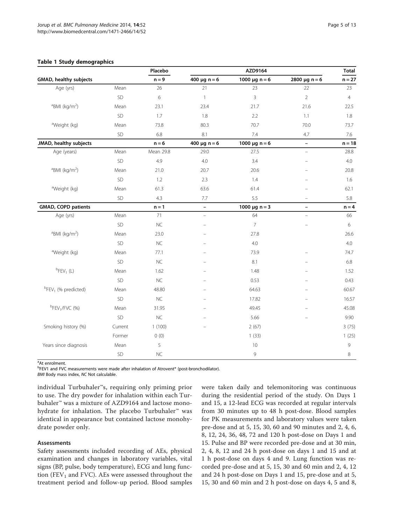#### <span id="page-4-0"></span>Table 1 Study demographics

|                                             |           | Placebo   |                          | AZD9164            |                          | <b>Total</b>   |
|---------------------------------------------|-----------|-----------|--------------------------|--------------------|--------------------------|----------------|
| GMAD, healthy subjects                      |           | $n = 9$   | 400 $\mu$ g n = 6        | 1000 $\mu$ g n = 6 | 2800 $\mu$ g n = 6       | $n = 27$       |
| Age (yrs)                                   | Mean      | 26        | 21                       | 23                 | 22                       | 23             |
|                                             | SD        | 6         | $\mathbf{1}$             | $\overline{3}$     | $\overline{2}$           | $\overline{4}$ |
| $BMI$ (kg/m <sup>2</sup> )                  | Mean      | 23.1      | 23.4                     | 21.7               | 21.6                     | 22.5           |
|                                             | SD        | 1.7       | 1.8                      | 2.2                | 1.1                      | 1.8            |
| <sup>a</sup> Weight (kg)                    | Mean      | 73.8      | 80.3                     | 70.7               | 70.0                     | 73.7           |
|                                             | SD        | 6.8       | 8.1                      | 7.4                | 4.7                      | 7.6            |
| JMAD, healthy subjects                      |           | $n = 6$   | 400 $\mu$ g n = 6        | 1000 $\mu$ g n = 6 | $\overline{\phantom{0}}$ | $n = 18$       |
| Age (years)                                 | Mean      | Mean 29.8 | 29.0                     | 27.5               | $\equiv$                 | 28.8           |
|                                             | SD        | 4.9       | 4.0                      | 3.4                | $\overline{\phantom{0}}$ | $4.0\,$        |
| <sup>a</sup> BMI (kg/m <sup>2</sup> )       | Mean      | 21.0      | 20.7                     | 20.6               | ÷                        | 20.8           |
|                                             | SD        | 1.2       | 2.3                      | 1.4                |                          | 1.6            |
| <sup>a</sup> Weight (kg)                    | Mean      | 61.3      | 63.6                     | 61.4               |                          | 62.1           |
|                                             | SD        | 4.3       | 7.7                      | 5.5                | $\overline{\phantom{0}}$ | 5.8            |
| <b>GMAD, COPD patients</b>                  |           | $n = 1$   | $\overline{\phantom{0}}$ | 1000 $\mu$ g n = 3 | $\qquad \qquad -$        | $n = 4$        |
| Age (yrs)                                   | Mean      | 71        | $\bar{\phantom{a}}$      | 64                 | $\equiv$                 | 66             |
|                                             | SD        | NC        | $\overline{a}$           | $\overline{7}$     | $\overline{\phantom{0}}$ | 6              |
| $BMI$ (kg/m <sup>2</sup> )                  | Mean      | 23.0      | L.                       | 27.8               |                          | 26.6           |
|                                             | SD        | <b>NC</b> |                          | 4.0                |                          | 4.0            |
| <sup>a</sup> Weight (kg)                    | Mean      | 77.1      | $\equiv$                 | 73.9               |                          | 74.7           |
|                                             | SD        | <b>NC</b> |                          | 8.1                | $\overline{\phantom{0}}$ | 6.8            |
| ${}^{\text{b}}$ FEV <sub>1</sub> (L)        | Mean      | 1.62      | L.                       | 1.48               |                          | 1.52           |
|                                             | <b>SD</b> | <b>NC</b> |                          | 0.53               |                          | 0.43           |
| <sup>b</sup> FEV <sub>1</sub> (% predicted) | Mean      | 48.80     | L.                       | 64.63              |                          | 60.67          |
|                                             | SD        | <b>NC</b> | L.                       | 17.82              | ÷                        | 16.57          |
| $b$ FEV <sub>1</sub> /FVC (%)               | Mean      | 31.95     |                          | 49.45              |                          | 45.08          |
|                                             | SD        | NC        |                          | 5.66               |                          | 9.90           |
| Smoking history (%)                         | Current   | 1(100)    |                          | 2(67)              |                          | 3(75)          |
|                                             | Former    | 0(0)      |                          | 1(33)              |                          | 1(25)          |
| Years since diagnosis                       | Mean      | 5         |                          | 10                 |                          | 9              |
|                                             | SD        | $NC$      |                          | 9                  |                          | 8              |

<sup>a</sup>At enrolment.

**<sup>b</sup>FEV1** and FVC measurements were made after inhalation of Atrovent® (post-bronchodilator).

BMI Body mass index, NC Not calculable.

individual Turbuhaler™s, requiring only priming prior to use. The dry powder for inhalation within each Turbuhaler™ was a mixture of AZD9164 and lactose monohydrate for inhalation. The placebo Turbuhaler<sup>™</sup> was identical in appearance but contained lactose monohydrate powder only.

# Assessments

Safety assessments included recording of AEs, physical examination and changes in laboratory variables, vital signs (BP, pulse, body temperature), ECG and lung function (FEV<sub>1</sub> and FVC). AEs were assessed throughout the treatment period and follow-up period. Blood samples were taken daily and telemonitoring was continuous during the residential period of the study. On Days 1 and 15, a 12-lead ECG was recorded at regular intervals from 30 minutes up to 48 h post-dose. Blood samples for PK measurements and laboratory values were taken pre-dose and at 5, 15, 30, 60 and 90 minutes and 2, 4, 6, 8, 12, 24, 36, 48, 72 and 120 h post-dose on Days 1 and 15. Pulse and BP were recorded pre-dose and at 30 min, 2, 4, 8, 12 and 24 h post-dose on days 1 and 15 and at 1 h post-dose on days 4 and 9. Lung function was recorded pre-dose and at 5, 15, 30 and 60 min and 2, 4, 12 and 24 h post-dose on Days 1 and 15, pre-dose and at 5, 15, 30 and 60 min and 2 h post-dose on days 4, 5 and 8,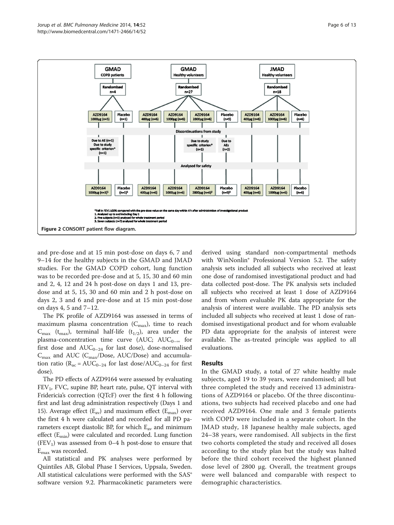<span id="page-5-0"></span>

and pre-dose and at 15 min post-dose on days 6, 7 and 9–14 for the healthy subjects in the GMAD and JMAD studies. For the GMAD COPD cohort, lung function was to be recorded pre-dose and at 5, 15, 30 and 60 min and 2, 4, 12 and 24 h post-dose on days 1 and 13, predose and at 5, 15, 30 and 60 min and 2 h post-dose on days 2, 3 and 6 and pre-dose and at 15 min post-dose on days 4, 5 and 7–12.

The PK profile of AZD9164 was assessed in terms of maximum plasma concentration  $(C_{\text{max}})$ , time to reach  $C_{\text{max}}$  (t<sub>max</sub>), terminal half-life (t<sub>1/2</sub>), area under the plasma-concentration time curve (AUC; AUC<sub>0–∞</sub> for first dose and  $AUC_{0-24}$  for last dose), dose-normalised  $C_{\text{max}}$  and AUC ( $C_{\text{max}}$ /Dose, AUC/Dose) and accumulation ratio ( $R_{ac} = AUC_{0-24}$  for last dose/ $AUC_{0-24}$  for first dose).

The PD effects of AZD9164 were assessed by evaluating  $FEV<sub>1</sub>$ , FVC, supine BP, heart rate, pulse, QT interval with Fridericia's correction (QTcF) over the first 4 h following first and last drug administration respectively (Days 1 and 15). Average effect  $(E_{av})$  and maximum effect  $(E_{max})$  over the first 4 h were calculated and recorded for all PD parameters except diastolic BP, for which  $E_{av}$  and minimum effect  $(E_{min})$  were calculated and recorded. Lung function  $(FEV<sub>1</sub>)$  was assessed from 0–4 h post-dose to ensure that  $E_{\text{max}}$  was recorded.

All statistical and PK analyses were performed by Quintiles AB, Global Phase I Services, Uppsala, Sweden. All statistical calculations were performed with the SAS<sup>®</sup> software version 9.2. Pharmacokinetic parameters were

derived using standard non-compartmental methods with WinNonlin® Professional Version 5.2. The safety analysis sets included all subjects who received at least one dose of randomised investigational product and had data collected post-dose. The PK analysis sets included all subjects who received at least 1 dose of AZD9164 and from whom evaluable PK data appropriate for the analysis of interest were available. The PD analysis sets included all subjects who received at least 1 dose of randomised investigational product and for whom evaluable PD data appropriate for the analysis of interest were available. The as-treated principle was applied to all evaluations.

#### Results

In the GMAD study, a total of 27 white healthy male subjects, aged 19 to 39 years, were randomised; all but three completed the study and received 13 administrations of AZD9164 or placebo. Of the three discontinuations, two subjects had received placebo and one had received AZD9164. One male and 3 female patients with COPD were included in a separate cohort. In the JMAD study, 18 Japanese healthy male subjects, aged 24–38 years, were randomised. All subjects in the first two cohorts completed the study and received all doses according to the study plan but the study was halted before the third cohort received the highest planned dose level of 2800 μg. Overall, the treatment groups were well balanced and comparable with respect to demographic characteristics.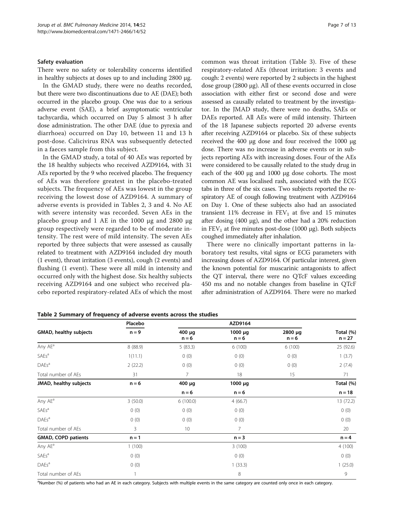#### <span id="page-6-0"></span>Safety evaluation

There were no safety or tolerability concerns identified in healthy subjects at doses up to and including 2800 μg.

In the GMAD study, there were no deaths recorded, but there were two discontinuations due to AE (DAE); both occurred in the placebo group. One was due to a serious adverse event (SAE), a brief asymptomatic ventricular tachycardia, which occurred on Day 5 almost 3 h after dose administration. The other DAE (due to pyrexia and diarrhoea) occurred on Day 10, between 11 and 13 h post-dose. Calicivirus RNA was subsequently detected in a faeces sample from this subject.

In the GMAD study, a total of 40 AEs was reported by the 18 healthy subjects who received AZD9164, with 31 AEs reported by the 9 who received placebo. The frequency of AEs was therefore greatest in the placebo-treated subjects. The frequency of AEs was lowest in the group receiving the lowest dose of AZD9164. A summary of adverse events is provided in Tables 2, [3](#page-7-0) and [4](#page-7-0). No AE with severe intensity was recorded. Seven AEs in the placebo group and 1 AE in the 1000 μg and 2800 μg group respectively were regarded to be of moderate intensity. The rest were of mild intensity. The seven AEs reported by three subjects that were assessed as causally related to treatment with AZD9164 included dry mouth (1 event), throat irritation (3 events), cough (2 events) and flushing (1 event). These were all mild in intensity and occurred only with the highest dose. Six healthy subjects receiving AZD9164 and one subject who received placebo reported respiratory-related AEs of which the most common was throat irritation (Table [3](#page-7-0)). Five of these respiratory-related AEs (throat irritation: 3 events and cough: 2 events) were reported by 2 subjects in the highest dose group (2800 μg). All of these events occurred in close association with either first or second dose and were assessed as causally related to treatment by the investigator. In the JMAD study, there were no deaths, SAEs or DAEs reported. All AEs were of mild intensity. Thirteen of the 18 Japanese subjects reported 20 adverse events after receiving AZD9164 or placebo. Six of these subjects received the 400 μg dose and four received the 1000 μg dose. There was no increase in adverse events or in subjects reporting AEs with increasing doses. Four of the AEs were considered to be causally related to the study drug in each of the 400 μg and 1000 μg dose cohorts. The most common AE was localised rash, associated with the ECG tabs in three of the six cases. Two subjects reported the respiratory AE of cough following treatment with AZD9164 on Day 1. One of these subjects also had an associated transient 11% decrease in  $FEV<sub>1</sub>$  at five and 15 minutes after dosing (400 μg), and the other had a 20% reduction in  $FEV<sub>1</sub>$  at five minutes post-dose (1000 μg). Both subjects coughed immediately after inhalation.

There were no clinically important patterns in laboratory test results, vital signs or ECG parameters with increasing doses of AZD9164. Of particular interest, given the known potential for muscarinic antagonists to affect the QT interval, there were no QTcF values exceeding 450 ms and no notable changes from baseline in QTcF after administration of AZD9164. There were no marked

|                            | Placebo  |                   | AZD9164                 |                         |                       |
|----------------------------|----------|-------------------|-------------------------|-------------------------|-----------------------|
| GMAD, healthy subjects     | $n = 9$  | 400 µg<br>$n = 6$ | $1000 \mu q$<br>$n = 6$ | $2800 \mu q$<br>$n = 6$ | Total (%)<br>$n = 27$ |
| Any AE <sup>a</sup>        | 8 (88.9) | 5(83.3)           | 6(100)                  | 6(100)                  | 25 (92.6)             |
| <b>SAEs<sup>a</sup></b>    | 1(11.1)  | 0(0)              | 0(0)                    | 0(0)                    | 1(3.7)                |
| DAEs <sup>a</sup>          | 2(22.2)  | 0(0)              | 0(0)                    | 0(0)                    | 2(7.4)                |
| Total number of AEs        | 31       | 7                 | 18                      | 15                      | 71                    |
| JMAD, healthy subjects     | $n = 6$  | $400 \mu g$       | 1000 µg                 |                         | Total (%)             |
|                            |          | $n = 6$           | $n = 6$                 |                         | $n = 18$              |
| Any AE <sup>a</sup>        | 3(50.0)  | 6(100.0)          | 4(66.7)                 |                         | 13 (72.2)             |
| SAEs <sup>a</sup>          | 0(0)     | 0(0)              | 0(0)                    |                         | 0(0)                  |
| DAEs <sup>a</sup>          | 0(0)     | 0(0)              | 0(0)                    |                         | 0(0)                  |
| Total number of AEs        | 3        | 10                | $\overline{7}$          |                         | 20                    |
| <b>GMAD, COPD patients</b> | $n = 1$  |                   | $n = 3$                 |                         | $n = 4$               |
| Any AE <sup>a</sup>        | 1(100)   |                   | 3(100)                  |                         | 4(100)                |
| SAEs <sup>a</sup>          | 0(0)     |                   | 0(0)                    |                         | 0(0)                  |
| DAEs <sup>a</sup>          | 0(0)     |                   | 1(33.3)                 |                         | 1(25.0)               |
| Total number of AEs        |          |                   | 8                       |                         | 9                     |

#### Table 2 Summary of frequency of adverse events across the studies

a Number (%) of patients who had an AE in each category. Subjects with multiple events in the same category are counted only once in each category.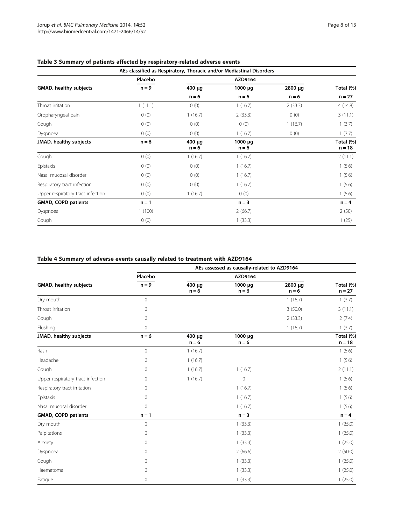| AEs classified as Respiratory, Thoracic and/or Mediastinal Disorders |         |                        |                         |         |                       |  |  |
|----------------------------------------------------------------------|---------|------------------------|-------------------------|---------|-----------------------|--|--|
|                                                                      | Placebo |                        | AZD9164                 |         |                       |  |  |
| GMAD, healthy subjects                                               | $n = 9$ | $400 \mu q$            | $1000 \mu q$            | 2800 µg | Total (%)             |  |  |
|                                                                      |         | $n = 6$                | $n = 6$                 | $n = 6$ | $n = 27$              |  |  |
| Throat irritation                                                    | 1(11.1) | 0(0)                   | 1(16.7)                 | 2(33.3) | 4(14.8)               |  |  |
| Oropharyngeal pain                                                   | 0(0)    | 1(16.7)                | 2(33.3)                 | 0(0)    | 3(11.1)               |  |  |
| Cough                                                                | 0(0)    | 0(0)                   | 0(0)                    | 1(16.7) | 1(3.7)                |  |  |
| Dyspnoea                                                             | 0(0)    | 0(0)                   | 1(16.7)                 | 0(0)    | 1(3.7)                |  |  |
| JMAD, healthy subjects                                               | $n = 6$ | $400 \mu$ g<br>$n = 6$ | $1000 \mu q$<br>$n = 6$ |         | Total (%)<br>$n = 18$ |  |  |
| Cough                                                                | 0(0)    | 1(16.7)                | 1(16.7)                 |         | 2(11.1)               |  |  |
| Epistaxis                                                            | 0(0)    | 0(0)                   | 1(16.7)                 |         | 1(5.6)                |  |  |
| Nasal mucosal disorder                                               | 0(0)    | 0(0)                   | 1(16.7)                 |         | 1(5.6)                |  |  |
| Respiratory tract infection                                          | 0(0)    | 0(0)                   | 1(16.7)                 |         | 1(5.6)                |  |  |
| Upper respiratory tract infection                                    | 0(0)    | 1(16.7)                | 0(0)                    |         | 1(5.6)                |  |  |
| <b>GMAD, COPD patients</b>                                           | $n = 1$ |                        | $n = 3$                 |         | $n = 4$               |  |  |
| Dyspnoea                                                             | 1(100)  |                        | 2(66.7)                 |         | 2(50)                 |  |  |
| Cough                                                                | 0(0)    |                        | 1(33.3)                 |         | 1(25)                 |  |  |

# <span id="page-7-0"></span>Table 3 Summary of patients affected by respiratory-related adverse events

# Table 4 Summary of adverse events causally related to treatment with AZD9164

|                                   | AEs assessed as causally-related to AZD9164 |                        |                         |                    |                       |  |  |  |
|-----------------------------------|---------------------------------------------|------------------------|-------------------------|--------------------|-----------------------|--|--|--|
|                                   | Placebo                                     |                        | AZD9164                 |                    |                       |  |  |  |
| GMAD, healthy subjects            | $n = 9$                                     | $400 \mu q$<br>$n = 6$ | 1000 µg<br>$n = 6$      | 2800 µg<br>$n = 6$ | Total (%)<br>$n = 27$ |  |  |  |
| Dry mouth                         | $\overline{0}$                              |                        |                         | 1(16.7)            | 1(3.7)                |  |  |  |
| Throat irritation                 | $\mathbf{0}$                                |                        |                         | 3(50.0)            | 3(11.1)               |  |  |  |
| Cough                             | $\mathbf{0}$                                |                        |                         | 2(33.3)            | 2(7.4)                |  |  |  |
| Flushing                          | $\mathbf{0}$                                |                        |                         | 1(16.7)            | 1(3.7)                |  |  |  |
| JMAD, healthy subjects            | $n = 6$                                     | 400 µg<br>$n = 6$      | $1000 \mu q$<br>$n = 6$ |                    | Total (%)<br>$n = 18$ |  |  |  |
| Rash                              | $\mathbf{0}$                                | 1(16.7)                |                         |                    | 1(5.6)                |  |  |  |
| Headache                          | $\mathbf{0}$                                | 1(16.7)                |                         |                    | 1(5.6)                |  |  |  |
| Cough                             | $\mathbf{0}$                                | 1(16.7)                | 1(16.7)                 |                    | 2(11.1)               |  |  |  |
| Upper respiratory tract infection | $\mathbf 0$                                 | 1(16.7)                | 0                       |                    | 1(5.6)                |  |  |  |
| Respiratory tract irritation      | $\mathbf{0}$                                |                        | 1(16.7)                 |                    | 1(5.6)                |  |  |  |
| Epistaxis                         | $\mathbf{0}$                                |                        | 1(16.7)                 |                    | 1(5.6)                |  |  |  |
| Nasal mucosal disorder            | $\mathbf{0}$                                |                        | 1(16.7)                 |                    | 1(5.6)                |  |  |  |
| <b>GMAD, COPD patients</b>        | $n = 1$                                     |                        | $n = 3$                 |                    | $n = 4$               |  |  |  |
| Dry mouth                         | $\overline{0}$                              |                        | 1(33.3)                 |                    | 1(25.0)               |  |  |  |
| Palpitations                      | $\mathbf 0$                                 |                        | 1(33.3)                 |                    | 1(25.0)               |  |  |  |
| Anxiety                           | $\mathbf 0$                                 |                        | 1(33.3)                 |                    | 1(25.0)               |  |  |  |
| Dyspnoea                          | $\mathbf 0$                                 |                        | 2(66.6)                 |                    | 2(50.0)               |  |  |  |
| Cough                             | $\mathbf{0}$                                |                        | 1(33.3)                 |                    | 1(25.0)               |  |  |  |
| Haematoma                         | $\Omega$                                    |                        | 1(33.3)                 |                    | 1(25.0)               |  |  |  |
| Fatigue                           | $\mathbf 0$                                 |                        | 1(33.3)                 |                    | 1(25.0)               |  |  |  |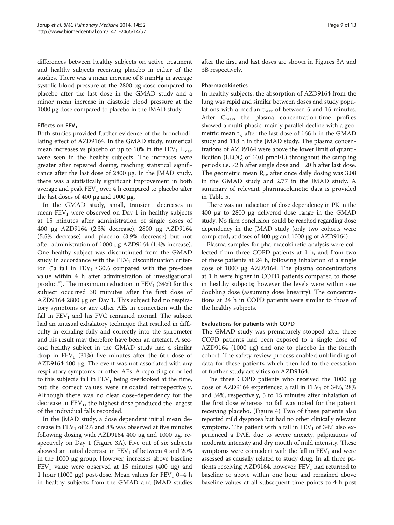differences between healthy subjects on active treatment and healthy subjects receiving placebo in either of the studies. There was a mean increase of 8 mmHg in average systolic blood pressure at the 2800 μg dose compared to placebo after the last dose in the GMAD study and a minor mean increase in diastolic blood pressure at the 1000 μg dose compared to placebo in the JMAD study.

# Effects on FEV<sub>1</sub>

Both studies provided further evidence of the bronchodilating effect of AZD9164. In the GMAD study, numerical mean increases vs placebo of up to 10% in the  $FEV_1 E_{max}$ were seen in the healthy subjects. The increases were greater after repeated dosing, reaching statistical significance after the last dose of 2800 μg. In the JMAD study, there was a statistically significant improvement in both average and peak  $FEV<sub>1</sub>$  over 4 h compared to placebo after the last doses of 400 μg and 1000 μg.

In the GMAD study, small, transient decreases in mean  $FEV<sub>1</sub>$  were observed on Day 1 in healthy subjects at 15 minutes after administration of single doses of 400 μg AZD9164 (2.3% decrease), 2800 μg AZD9164 (5.5% decrease) and placebo (3.9% decrease) but not after administration of 1000 μg AZD9164 (1.4% increase). One healthy subject was discontinued from the GMAD study in accordance with the  $FEV<sub>1</sub>$  discontinuation criterion ("a fall in  $FEV_1 \ge 30\%$  compared with the pre-dose value within 4 h after administration of investigational product"). The maximum reduction in  $FEV<sub>1</sub>$  (34%) for this subject occurred 30 minutes after the first dose of AZD9164 2800 μg on Day 1. This subject had no respiratory symptoms or any other AEs in connection with the fall in  $FEV<sub>1</sub>$  and his FVC remained normal. The subject had an unusual exhalatory technique that resulted in difficulty in exhaling fully and correctly into the spirometer and his result may therefore have been an artefact. A second healthy subject in the GMAD study had a similar drop in  $FEV_1$  (31%) five minutes after the 6th dose of AZD9164 400 μg. The event was not associated with any respiratory symptoms or other AEs. A reporting error led to this subject's fall in  $FEV_1$  being overlooked at the time, but the correct values were relocated retrospectively. Although there was no clear dose-dependency for the decrease in  $FEV_1$ , the highest dose produced the largest of the individual falls recorded.

In the JMAD study, a dose dependent initial mean decrease in  $\rm FEV_1$  of 2% and 8% was observed at five minutes following dosing with AZD9164 400 μg and 1000 μg, respectively on Day 1 (Figure [3A](#page-9-0)). Five out of six subjects showed an initial decrease in  $FEV<sub>1</sub>$  of between 4 and 20% in the 1000 μg group. However, increases above baseline  $FEV<sub>1</sub>$  value were observed at 15 minutes (400 µg) and 1 hour (1000 μg) post-dose. Mean values for  $FEV<sub>1</sub>$  0–4 h in healthy subjects from the GMAD and JMAD studies

after the first and last doses are shown in Figures [3A](#page-9-0) and [3B](#page-9-0) respectively.

#### Pharmacokinetics

In healthy subjects, the absorption of AZD9164 from the lung was rapid and similar between doses and study populations with a median  $t_{\text{max}}$  of between 5 and 15 minutes. After  $C_{\text{max}}$ , the plasma concentration-time profiles showed a multi-phasic, mainly parallel decline with a geometric mean t½ after the last dose of 166 h in the GMAD study and 118 h in the JMAD study. The plasma concentrations of AZD9164 were above the lower limit of quantification (LLOQ of 10.0 pmol/L) throughout the sampling periods i.e. 72 h after single dose and 120 h after last dose. The geometric mean  $R_{ac}$  after once daily dosing was 3.08 in the GMAD study and 2.77 in the JMAD study. A summary of relevant pharmacokinetic data is provided in Table [5.](#page-10-0)

There was no indication of dose dependency in PK in the 400 μg to 2800 μg delivered dose range in the GMAD study. No firm conclusion could be reached regarding dose dependency in the JMAD study (only two cohorts were completed, at doses of 400 μg and 1000 μg of AZD9164).

Plasma samples for pharmacokinetic analysis were collected from three COPD patients at 1 h, and from two of these patients at 24 h, following inhalation of a single dose of 1000 μg AZD9164. The plasma concentrations at 1 h were higher in COPD patients compared to those in healthy subjects; however the levels were within one doubling dose (assuming dose linearity). The concentrations at 24 h in COPD patients were similar to those of the healthy subjects.

#### Evaluations for patients with COPD

The GMAD study was prematurely stopped after three COPD patients had been exposed to a single dose of AZD9164 (1000 μg) and one to placebo in the fourth cohort. The safety review process enabled unblinding of data for these patients which then led to the cessation of further study activities on AZD9164.

The three COPD patients who received the 1000 μg dose of AZD9164 experienced a fall in  $FEV<sub>1</sub>$  of 34%, 28% and 34%, respectively, 5 to 15 minutes after inhalation of the first dose whereas no fall was noted for the patient receiving placebo. (Figure [4\)](#page-10-0) Two of these patients also reported mild dyspnoea but had no other clinically relevant symptoms. The patient with a fall in  $FEV<sub>1</sub>$  of 34% also experienced a DAE, due to severe anxiety, palpitations of moderate intensity and dry mouth of mild intensity. These symptoms were coincident with the fall in  $FEV<sub>1</sub>$  and were assessed as causally related to study drug. In all three patients receiving AZD9164, however,  $FEV<sub>1</sub>$  had returned to baseline or above within one hour and remained above baseline values at all subsequent time points to 4 h post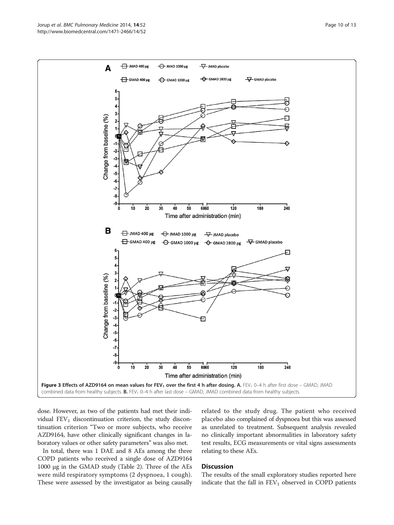<span id="page-9-0"></span>

dose. However, as two of the patients had met their individual  $FEV<sub>1</sub>$  discontinuation criterion, the study discontinuation criterion "Two or more subjects, who receive AZD9164, have other clinically significant changes in laboratory values or other safety parameters" was also met.

In total, there was 1 DAE and 8 AEs among the three COPD patients who received a single dose of AZD9164 1000 μg in the GMAD study (Table [2](#page-6-0)). Three of the AEs were mild respiratory symptoms (2 dyspnoea, 1 cough). These were assessed by the investigator as being causally related to the study drug. The patient who received placebo also complained of dyspnoea but this was assessed as unrelated to treatment. Subsequent analysis revealed no clinically important abnormalities in laboratory safety test results, ECG measurements or vital signs assessments relating to these AEs.

# **Discussion**

The results of the small exploratory studies reported here indicate that the fall in  $FEV<sub>1</sub>$  observed in COPD patients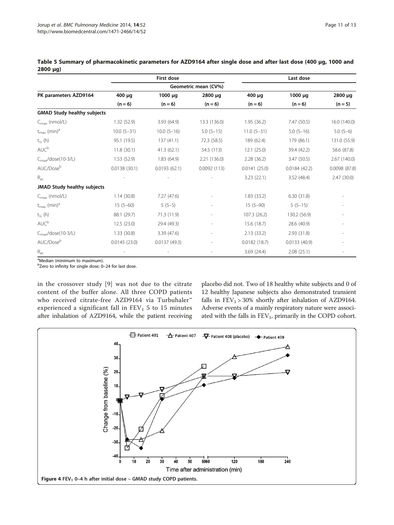|                                     | First dose<br>Geometric mean (CV%) |                 |              | Last dose    |              |              |
|-------------------------------------|------------------------------------|-----------------|--------------|--------------|--------------|--------------|
|                                     |                                    |                 |              |              |              |              |
| PK parameters AZD9164               | 400 µg                             | $1000 \mu g$    | 2800 µg      | 400 µg       | $1000 \mu q$ | 2800 µg      |
|                                     | $(n = 6)$                          | $(n = 6)$       | $(n = 6)$    | $(n = 6)$    | $(n = 6)$    | $(n = 5)$    |
| <b>GMAD Study healthy subjects</b>  |                                    |                 |              |              |              |              |
| $C_{\text{max}}$ (nmol/L)           | 1.32(52.9)                         | 3.93(64.9)      | 13.3 (136.0) | 1.95(36.2)   | 7.47(50.5)   | 16.0 (140.0) |
| $t_{\text{max}}$ (min) <sup>a</sup> | $10.0 (5 - 31)$                    | $10.0 (5 - 16)$ | $5.0(5-15)$  | $11.0(5-31)$ | $5.0(5-16)$  | $5.0(5-6)$   |
| $t_{1/2}$ (h)                       | 95.1 (19.5)                        | 137(41.1)       | 72.3 (58.5)  | 189 (62.4)   | 179 (86.1)   | 131.0 (55.9) |
| AUC <sup>b</sup>                    | 11.8(30.1)                         | 41.3(62.1)      | 54.5 (113)   | 12.1(25.0)   | 39.4 (42.2)  | 58.6 (87.8)  |
| $C_{\text{max}}$ /dose(10-3/L)      | 1.53(52.9)                         | 1.83(64.9)      | 2.21(136.0)  | 2.28(36.2)   | 3.47(50.5)   | 2.67 (140.0) |
| AUC/Dose <sup>b</sup>               | 0.0138(30.1)                       | 0.0193(62.1)    | 0.0092(113)  | 0.0141(25.0) | 0.0184(42.2) | 0.0098(87.8) |
| $R_{ac}$                            |                                    |                 |              | 3.23(22.1)   | 3.52(48.4)   | 2.47(30.0)   |
| JMAD Study healthy subjects         |                                    |                 |              |              |              |              |
| $C_{\text{max}}$ (nmol/L)           | 1.14(30.8)                         | 7.27(47.6)      |              | 1.83(33.2)   | 6.30(31.8)   |              |
| $t_{\text{max}}$ (min) <sup>a</sup> | $15(5-60)$                         | $5(5-5)$        |              | $15(5-90)$   | $5(5-15)$    |              |
| $t_{1/2}$ (h)                       | 88.1 (29.7)                        | 71.3 (11.9)     |              | 107.3 (26.2) | 130.2 (56.9) |              |
| AUC <sup>b</sup>                    | 12.5(23.0)                         | 29.4 (49.3)     |              | 15.6(18.7)   | 28.6 (40.9)  |              |
| $C_{\text{max}}$ /dose(10-3/L)      | 1.33(30.8)                         | 3.39(47.6)      |              | 2.13(33.2)   | 2.93(31.8)   |              |
| AUC/Dose <sup>b</sup>               | 0.0145(23.0)                       | 0.0137(49.3)    |              | 0.0182(18.7) | 0.0133(40.9) |              |
| $\mathsf{R}_{\mathsf{ac}}$          |                                    |                 |              | 3.69(24.4)   | 2.08(25.1)   |              |

<span id="page-10-0"></span>Table 5 Summary of pharmacokinetic parameters for AZD9164 after single dose and after last dose (400 μg, 1000 and 2800 μg)

<sup>a</sup>Median (minimum to maximum).

<sup>b</sup>Zero to infinity for single dose; 0–24 for last dose.

in the crossover study [[9](#page-12-0)] was not due to the citrate content of the buffer alone. All three COPD patients who received citrate-free AZD9164 via Turbuhaler™ experienced a significant fall in  $FEV<sub>1</sub>$  5 to 15 minutes after inhalation of AZD9164, while the patient receiving

placebo did not. Two of 18 healthy white subjects and 0 of 12 healthy Japanese subjects also demonstrated transient falls in  $FEV_1 > 30\%$  shortly after inhalation of AZD9164. Adverse events of a mainly respiratory nature were associated with the falls in FEV<sub>1</sub>, primarily in the COPD cohort.

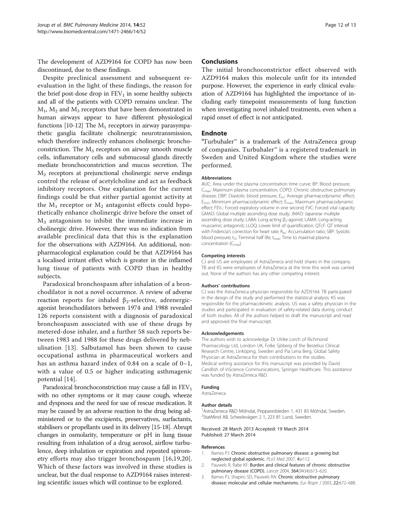<span id="page-11-0"></span>The development of AZD9164 for COPD has now been discontinued, due to these findings.

Despite preclinical assessment and subsequent reevaluation in the light of these findings, the reason for the brief post-dose drop in  $FEV<sub>1</sub>$  in some healthy subjects and all of the patients with COPD remains unclear. The  $M_1$ ,  $M_2$  and  $M_3$  receptors that have been demonstrated in human airways appear to have different physiological functions [\[10-12\]](#page-12-0) The  $M_1$  receptors in airway parasympathetic ganglia facilitate cholinergic neurotransmission, which therefore indirectly enhances cholinergic bronchoconstriction. The  $M_3$  receptors on airway smooth muscle cells, inflammatory cells and submucosal glands directly mediate bronchoconstriction and mucus secretion. The  $M<sub>2</sub>$  receptors at prejunctional cholinergic nerve endings control the release of acetylcholine and act as feedback inhibitory receptors. One explanation for the current findings could be that either partial agonist activity at the  $M_1$  receptor or  $M_2$  antagonist effects could hypothetically enhance cholinergic drive before the onset of  $M<sub>3</sub>$  antagonism to inhibit the immediate increase in cholinergic drive. However, there was no indication from available preclinical data that this is the explanation for the observations with AZD9164. An additional, nonpharmacological explanation could be that AZD9164 has a localised irritant effect which is greater in the inflamed lung tissue of patients with COPD than in healthy subjects.

Paradoxical bronchospasm after inhalation of a bronchodilator is not a novel occurrence. A review of adverse reaction reports for inhaled  $β_2$ -selective, adrenergicagonist bronchodilators between 1974 and 1988 revealed 126 reports consistent with a diagnosis of paradoxical bronchospasm associated with use of these drugs by metered-dose inhaler, and a further 58 such reports between 1983 and 1988 for these drugs delivered by nebulisation [[13](#page-12-0)]. Salbutamol has been shown to cause occupational asthma in pharmaceutical workers and has an asthma hazard index of 0.84 on a scale of 0–1, with a value of 0.5 or higher indicating asthmagenic potential [\[14\]](#page-12-0).

Paradoxical bronchoconstriction may cause a fall in  $FEV<sub>1</sub>$ with no other symptoms or it may cause cough, wheeze and dyspnoea and the need for use of rescue medication. It may be caused by an adverse reaction to the drug being administered or to the excipients, preservatives, surfactants, stabilisers or propellants used in its delivery [\[15-18](#page-12-0)]. Abrupt changes in osmolarity, temperature or pH in lung tissue resulting from inhalation of a drug aerosol, airflow turbulence, deep inhalation or expiration and repeated spirometry efforts may also trigger bronchospasm [[16,19,20](#page-12-0)]. Which of these factors was involved in these studies is unclear, but the dual response to AZD9164 raises interesting scientific issues which will continue to be explored.

### Conclusions

The initial bronchoconstrictor effect observed with AZD9164 makes this molecule unfit for its intended purpose. However, the experience in early clinical evaluation of AZD9164 has highlighted the importance of including early timepoint measurements of lung function when investigating novel inhaled treatments, even when a rapid onset of effect is not anticipated.

# Endnote

<sup>a</sup>Turbuhaler<sup>™</sup> is a trademark of the AstraZeneca group of companies. Turbuhaler™ is a registered trademark in Sweden and United Kingdom where the studies were performed.

#### Abbreviations

AUC: Area under the plasma concentration time curve; BP: Blood pressure; C<sub>max</sub>: Maximum plasma concentration; COPD: Chronic obstructive pulmonary disease; DBP: Diastolic blood pressure; E<sub>av</sub>: Average pharmacodynamic effect; E<sub>min</sub>: Minimum pharmacodynamic effect; E<sub>max</sub>: Maximum pharmacodynamic effect; FEV<sub>1</sub>: Forced expiratory volume in one second; FVC: Forced vital capacity; GMAD: Global multiple ascending dose study; JMAD: Japanese multiple ascending dose study; LABA: Long-acting β<sub>2</sub>-agonist; LAMA: Long-acting muscarinic antagonist; LLOQ: Lower limit of quantification; QTcF: QT interval with Fridericia's correction for heart rate; R<sub>ac</sub>: Accumulation ratio; SBP: Systolic blood pressure;  $t_{1/2}$ : Terminal half life;  $t_{\text{max}}$ : Time to maximal plasma concentration (C<sub>max</sub>).

#### Competing interests

CJ and US are employees of AstraZeneca and hold shares in the company. TB and KS were employees of AstraZeneca at the time this work was carried out. None of the authors has any other competing interest.

#### Authors' contributions

CJ was the AstraZeneca physician responsible for AZD9164. TB participated in the design of the study and performed the statistical analysis. KS was responsible for the pharmacokinetic analysis. US was a safety physician in the studies and participated in evaluation of safety-related data during conduct of both studies. All of the authors helped to draft the manuscript and read and approved the final manuscript.

#### Acknowledgements

The authors wish to acknowledge Dr Ulrike Lorch of Richmond Pharmacology Ltd, London UK, Folke Sjöberg of the Berzelius Clinical Research Centre, Linköping, Sweden and Pia Lena Berg, Global Safety Physician at AstraZeneca for their contributions to the studies. Medical writing assistance for this manuscript was provided by David Candlish of inScience Communications, Springer Healthcare. This assistance was funded by AstraZeneca R&D.

#### Funding

AstraZeneca

#### Author details

<sup>1</sup> AstraZeneca R&D Mölndal, Pepparedsleden 1, 431 83 Mölndal, Sweden 2 StatMind AB, Scheelevägen 2 1, 223 81 Lund, Sweden.

#### Received: 28 March 2013 Accepted: 19 March 2014 Published: 27 March 2014

#### References

- 1. Barnes PJ: Chronic obstructive pulmonary disease: a growing but neglected global epidemic. PLoS Med 2007, 4:e112.
- 2. Pauwels R, Rabe KF: Burden and clinical features of chronic obstructive pulmonary disease (COPD). Lancet 2004, 364(9434):613–620.
- 3. Barnes PJ, Shapiro SD, Pauwels RA: Chronic obstructive pulmonary disease: molecular and cellular mechanisms. Eur Respir J 2003, 22:672-688.